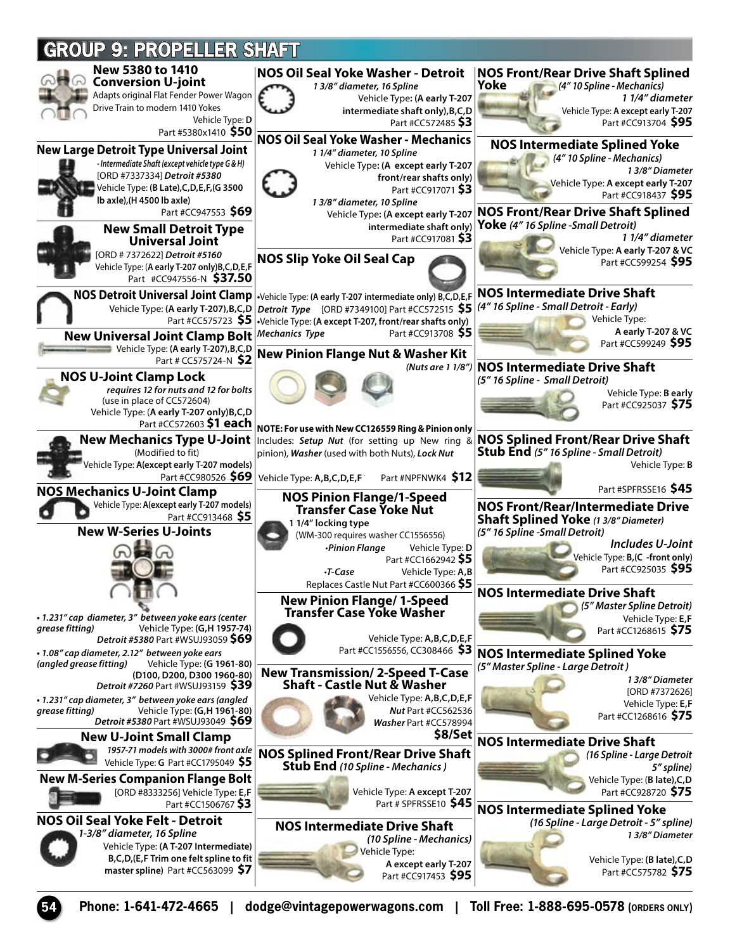

**54 Phone: 1-641-472-4665 | dodge@vintagepowerwagons.com | Toll Free: 1-888-695-0578 (ORDERS ONLY)**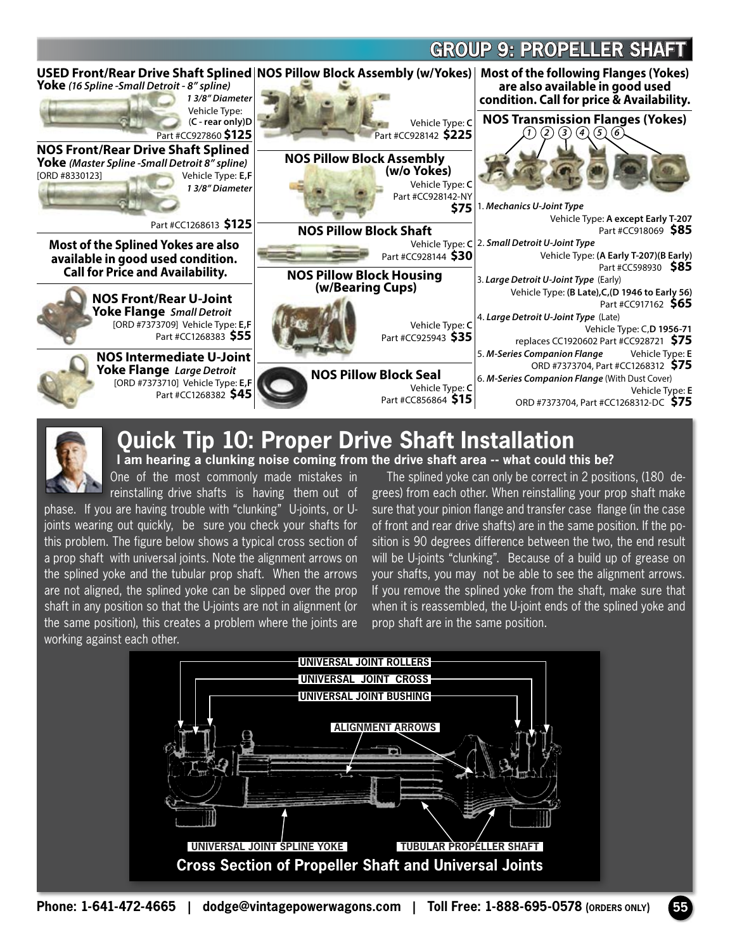## **GROUP 9: PROPELLER SHAF**



## **Quick Tip 10: Proper Drive Shaft Installation I am hearing a clunking noise coming from the drive shaft area -- what could this be?**

One of the most commonly made mistakes in reinstalling drive shafts is having them out of

phase. If you are having trouble with "clunking" U-joints, or Ujoints wearing out quickly, be sure you check your shafts for this problem. The figure below shows a typical cross section of a prop shaft with universal joints. Note the alignment arrows on the splined yoke and the tubular prop shaft. When the arrows are not aligned, the splined yoke can be slipped over the prop shaft in any position so that the U-joints are not in alignment (or the same position), this creates a problem where the joints are working against each other.

The splined yoke can only be correct in 2 positions, (180 degrees) from each other. When reinstalling your prop shaft make sure that your pinion flange and transfer case flange (in the case of front and rear drive shafts) are in the same position. If the position is 90 degrees difference between the two, the end result will be U-joints "clunking". Because of a build up of grease on your shafts, you may not be able to see the alignment arrows. If you remove the splined yoke from the shaft, make sure that when it is reassembled, the U-joint ends of the splined yoke and prop shaft are in the same position.